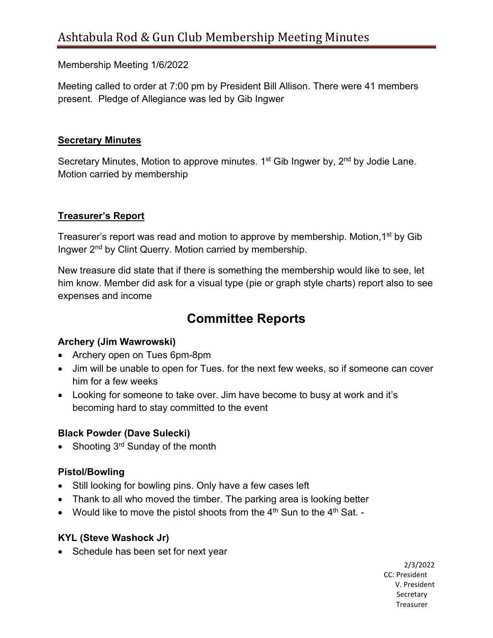Membership Meeting 1/6/2022

Meeting called to order at 7:00 pm by President Bill Allison. There were 41 members present. Pledge of Allegiance was led by Gib Ingwer

#### **Secretary Minutes**

Secretary Minutes, Motion to approve minutes. 1<sup>st</sup> Gib Ingwer by, 2<sup>nd</sup> by Jodie Lane. Motion carried by membership

# **Treasurer's Report**

Treasurer's report was read and motion to approve by membership. Motion, 1<sup>st</sup> by Gib Ingwer 2<sup>nd</sup> by Clint Querry. Motion carried by membership.

New treasure did state that if there is something the membership would like to see, let him know. Member did ask for a visual type (pie or graph style charts) report also to see expenses and income

# **Committee Reports**

# **Archery (Jim Wawrowski)**

- Archery open on Tues 6pm-8pm
- Jim will be unable to open for Tues. for the next few weeks, so if someone can cover him for a few weeks
- Looking for someone to take over. Jim have become to busy at work and it's becoming hard to stay committed to the event

# **Black Powder (Dave Sulecki)**

• Shooting 3<sup>rd</sup> Sunday of the month

# **Pistol/Bowling**

- Still looking for bowling pins. Only have a few cases left
- Thank to all who moved the timber. The parking area is looking better
- Would like to move the pistol shoots from the  $4<sup>th</sup>$  Sun to the  $4<sup>th</sup>$  Sat. -

# **KYL (Steve Washock Jr)**

• Schedule has been set for next year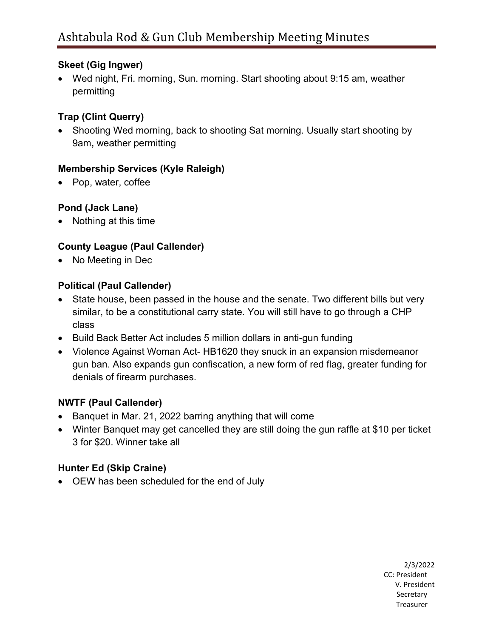#### **Skeet (Gig Ingwer)**

• Wed night, Fri. morning, Sun. morning. Start shooting about 9:15 am, weather permitting

# **Trap (Clint Querry)**

• Shooting Wed morning, back to shooting Sat morning. Usually start shooting by 9am**,** weather permitting

# **Membership Services (Kyle Raleigh)**

• Pop, water, coffee

# **Pond (Jack Lane)**

• Nothing at this time

# **County League (Paul Callender)**

• No Meeting in Dec

# **Political (Paul Callender)**

- State house, been passed in the house and the senate. Two different bills but very similar, to be a constitutional carry state. You will still have to go through a CHP class
- Build Back Better Act includes 5 million dollars in anti-gun funding
- Violence Against Woman Act- HB1620 they snuck in an expansion misdemeanor gun ban. Also expands gun confiscation, a new form of red flag, greater funding for denials of firearm purchases.

# **NWTF (Paul Callender)**

- Banquet in Mar. 21, 2022 barring anything that will come
- Winter Banquet may get cancelled they are still doing the gun raffle at \$10 per ticket 3 for \$20. Winner take all

# **Hunter Ed (Skip Craine)**

• OEW has been scheduled for the end of July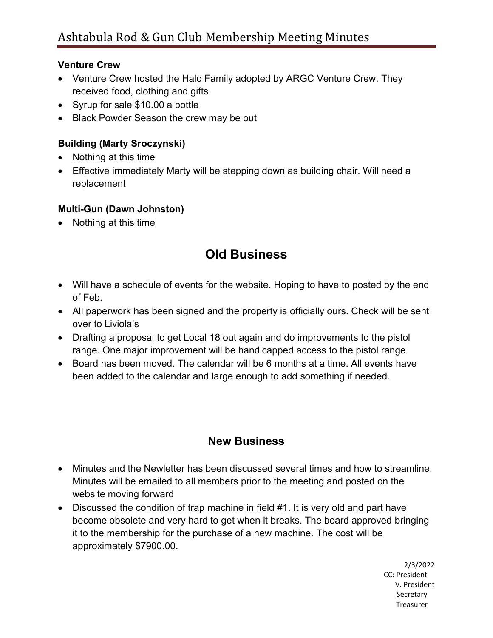#### **Venture Crew**

- Venture Crew hosted the Halo Family adopted by ARGC Venture Crew. They received food, clothing and gifts
- Syrup for sale \$10.00 a bottle
- Black Powder Season the crew may be out

# **Building (Marty Sroczynski)**

- Nothing at this time
- Effective immediately Marty will be stepping down as building chair. Will need a replacement

# **Multi-Gun (Dawn Johnston)**

• Nothing at this time

# **Old Business**

- Will have a schedule of events for the website. Hoping to have to posted by the end of Feb.
- All paperwork has been signed and the property is officially ours. Check will be sent over to Liviola's
- Drafting a proposal to get Local 18 out again and do improvements to the pistol range. One major improvement will be handicapped access to the pistol range
- Board has been moved. The calendar will be 6 months at a time. All events have been added to the calendar and large enough to add something if needed.

# **New Business**

- Minutes and the Newletter has been discussed several times and how to streamline, Minutes will be emailed to all members prior to the meeting and posted on the website moving forward
- Discussed the condition of trap machine in field #1. It is very old and part have become obsolete and very hard to get when it breaks. The board approved bringing it to the membership for the purchase of a new machine. The cost will be approximately \$7900.00.